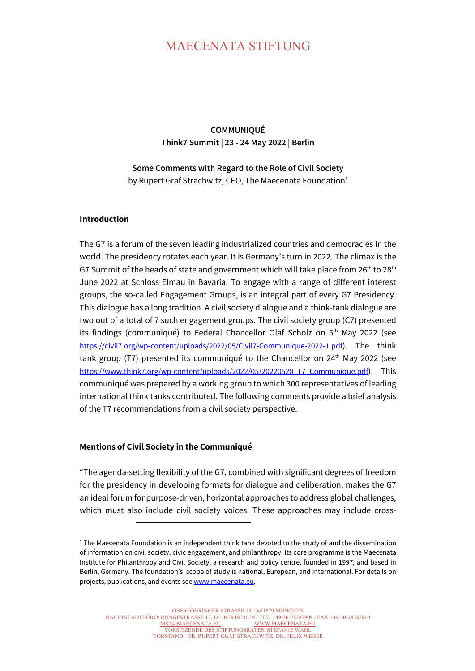## MAECENATA STIFTUNG

**COMMUNIQUÉ Think7 Summit | 23 - 24 May 2022 | Berlin**

**Some Comments with Regard to the Role of Civil Society** by Rupert Graf Strachwitz, CEO, The Maecenata Foundation<sup>1</sup>

## **Introduction**

The G7 is a forum of the seven leading industrialized countries and democracies in the world. The presidency rotates each year. It is Germany's turn in 2022. The climax is the G7 Summit of the heads of state and government which will take place from  $26<sup>th</sup>$  to  $28<sup>th</sup>$ June 2022 at Schloss Elmau in Bavaria. To engage with a range of different interest groups, the so-called Engagement Groups, is an integral part of every G7 Presidency. This dialogue has a long tradition. A civil society dialogue and a think-tank dialogue are two out of a total of 7 such engagement groups. The civil society group (C7) presented its findings (communiqué) to Federal Chancellor Olaf Scholz on 5<sup>th</sup> May 2022 (see https://civil7.org/wp-content/uploads/2022/05/Civil7-Communique-2022-1.pdf). The think tank group (T7) presented its communiqué to the Chancellor on 24<sup>th</sup> May 2022 (see https://www.think7.org/wp-content/uploads/2022/05/20220520\_T7\_Communique.pdf). This communiqué was prepared by a working group to which 300 representatives of leading international think tanks contributed. The following comments provide a brief analysis of the T7 recommendations from a civil society perspective.

## **Mentions of Civil Society in the Communiqué**

"The agenda-setting flexibility of the G7, combined with significant degrees of freedom for the presidency in developing formats for dialogue and deliberation, makes the G7 an ideal forum for purpose-driven, horizontal approaches to address global challenges, which must also include civil society voices. These approaches may include cross-

<sup>&</sup>lt;sup>1</sup> The Maecenata Foundation is an independent think tank devoted to the study of and the dissemination of information on civil society, civic engagement, and philanthropy. Its core programme is the Maecenata Institute for Philanthropy and Civil Society, a research and policy centre, founded in 1997, and based in Berlin, Germany. The foundation's scope of study is national, European, and international. For details on projects, publications, and events see www.maecenata.eu.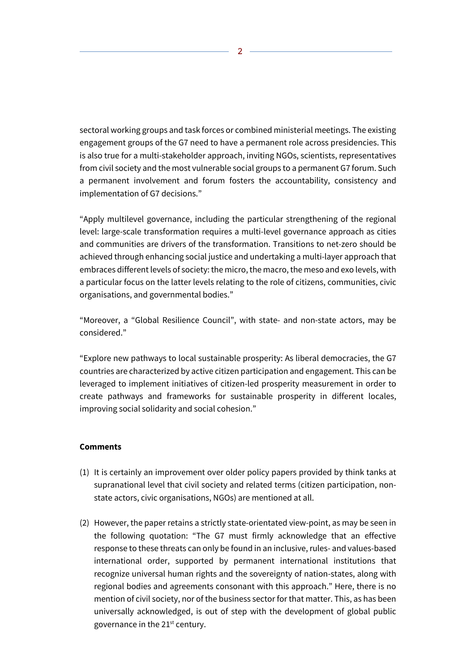sectoral working groups and task forces or combined ministerial meetings. The existing engagement groups of the G7 need to have a permanent role across presidencies. This is also true for a multi-stakeholder approach, inviting NGOs, scientists, representatives from civil society and the most vulnerable social groups to a permanent G7 forum. Such a permanent involvement and forum fosters the accountability, consistency and implementation of G7 decisions."

"Apply multilevel governance, including the particular strengthening of the regional level: large-scale transformation requires a multi-level governance approach as cities and communities are drivers of the transformation. Transitions to net-zero should be achieved through enhancing social justice and undertaking a multi-layer approach that embraces different levels of society: the micro, the macro, the meso and exo levels, with a particular focus on the latter levels relating to the role of citizens, communities, civic organisations, and governmental bodies."

"Moreover, a "Global Resilience Council", with state- and non-state actors, may be considered."

"Explore new pathways to local sustainable prosperity: As liberal democracies, the G7 countries are characterized by active citizen participation and engagement. This can be leveraged to implement initiatives of citizen-led prosperity measurement in order to create pathways and frameworks for sustainable prosperity in different locales, improving social solidarity and social cohesion."

## **Comments**

- (1) It is certainly an improvement over older policy papers provided by think tanks at supranational level that civil society and related terms (citizen participation, nonstate actors, civic organisations, NGOs) are mentioned at all.
- (2) However, the paper retains a strictly state-orientated view-point, as may be seen in the following quotation: "The G7 must firmly acknowledge that an effective response to these threats can only be found in an inclusive, rules- and values-based international order, supported by permanent international institutions that recognize universal human rights and the sovereignty of nation-states, along with regional bodies and agreements consonant with this approach." Here, there is no mention of civil society, nor of the business sector for that matter. This, as has been universally acknowledged, is out of step with the development of global public governance in the  $21<sup>st</sup>$  century.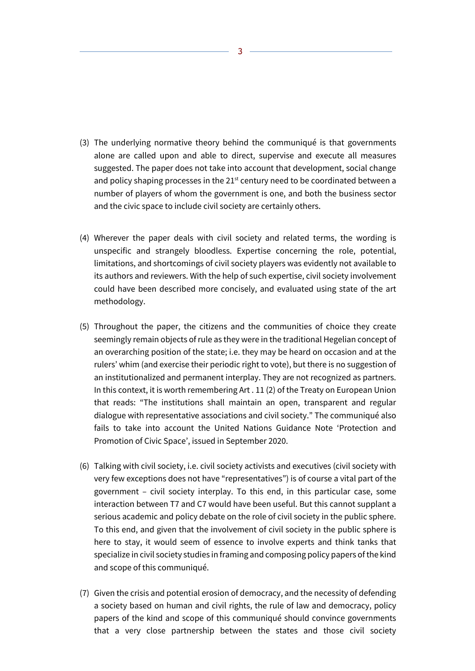- (3) The underlying normative theory behind the communiqué is that governments alone are called upon and able to direct, supervise and execute all measures suggested. The paper does not take into account that development, social change and policy shaping processes in the  $21<sup>st</sup>$  century need to be coordinated between a number of players of whom the government is one, and both the business sector and the civic space to include civil society are certainly others.
- (4) Wherever the paper deals with civil society and related terms, the wording is unspecific and strangely bloodless. Expertise concerning the role, potential, limitations, and shortcomings of civil society players was evidently not available to its authors and reviewers. With the help of such expertise, civil society involvement could have been described more concisely, and evaluated using state of the art methodology.
- (5) Throughout the paper, the citizens and the communities of choice they create seemingly remain objects of rule as they were in the traditional Hegelian concept of an overarching position of the state; i.e. they may be heard on occasion and at the rulers' whim (and exercise their periodic right to vote), but there is no suggestion of an institutionalized and permanent interplay. They are not recognized as partners. In this context, it is worth remembering Art . 11 (2) of the Treaty on European Union that reads: "The institutions shall maintain an open, transparent and regular dialogue with representative associations and civil society." The communiqué also fails to take into account the United Nations Guidance Note 'Protection and Promotion of Civic Space', issued in September 2020.
- (6) Talking with civil society, i.e. civil society activists and executives (civil society with very few exceptions does not have "representatives") is of course a vital part of the government – civil society interplay. To this end, in this particular case, some interaction between T7 and C7 would have been useful. But this cannot supplant a serious academic and policy debate on the role of civil society in the public sphere. To this end, and given that the involvement of civil society in the public sphere is here to stay, it would seem of essence to involve experts and think tanks that specialize in civil society studies in framing and composing policy papers of the kind and scope of this communiqué.
- (7) Given the crisis and potential erosion of democracy, and the necessity of defending a society based on human and civil rights, the rule of law and democracy, policy papers of the kind and scope of this communiqué should convince governments that a very close partnership between the states and those civil society

3